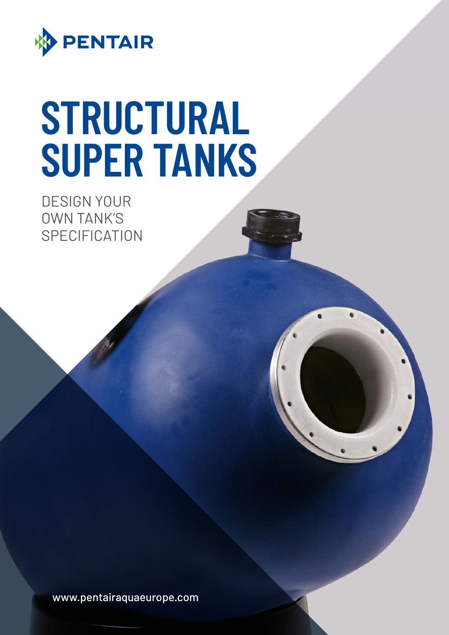

# **STRUCTURAL SUPER TANKS**

DESIGN YOUR OWN TANK'S **SPECIFICATION** 

www.pentairaquaeurope.com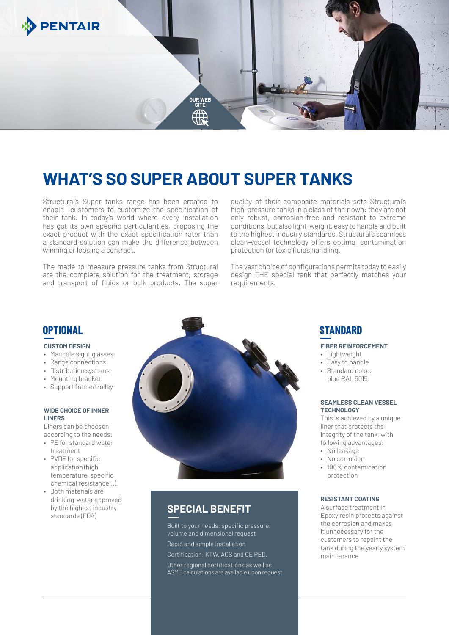

# **WHAT'S SO SUPER ABOUT SUPER TANKS**

Structural's Super tanks range has been created to enable customers to customize the specification of their tank. In today's world where every installation has got its own specific particularities, proposing the exact product with the exact specification rater than a standard solution can make the difference between winning or loosing a contract.

The made-to-measure pressure tanks from Structural are the complete solution for the treatment, storage and transport of fluids or bulk products. The super

quality of their composite materials sets Structural's high-pressure tanks in a class of their own: they are not only robust, corrosion-free and resistant to extreme conditions, but also light-weight, easy to handle and built to the highest industry standards. Structural's seamless clean-vessel technology offers optimal contamination protection for toxic fluids handling.

The vast choice of configurations permits today to easily design THE special tank that perfectly matches your requirements.

## **OPTIONAL**

### **CUSTOM DESIGN**

- Manhole sight glasses
- Range connections
- Distribution systems
- Mounting bracket
- Support frame/trolley

### **WIDE CHOICE OF INNER LINERS**

Liners can be choosen according to the needs:

- PE for standard water treatment
- PVDF for specific application (high temperature, specific chemical resistance…).
- Both materials are drinking-water approved by the highest industry standards (FDA)



# **SPECIAL BENEFIT**

Built to your needs: specific pressure, volume and dimensional request Rapid and simple Installation Certification: KTW, ACS and CE PED. Other regional certifications as well as ASME calculations are available upon request

# **STANDARD**

### **FIBER REINFORCEMENT**

- Lightweight
- Easy to handle
- Standard color: blue RAL 5015

### **SEAMLESS CLEAN VESSEL TECHNOLOGY**

This is achieved by a unique liner that protects the integrity of the tank, with following advantages:

- No leakage
- No corrosion
- 100% contamination protection

### **RESISTANT COATING**

A surface treatment in Epoxy resin protects against the corrosion and makes it unnecessary for the customers to repaint the tank during the yearly system maintenance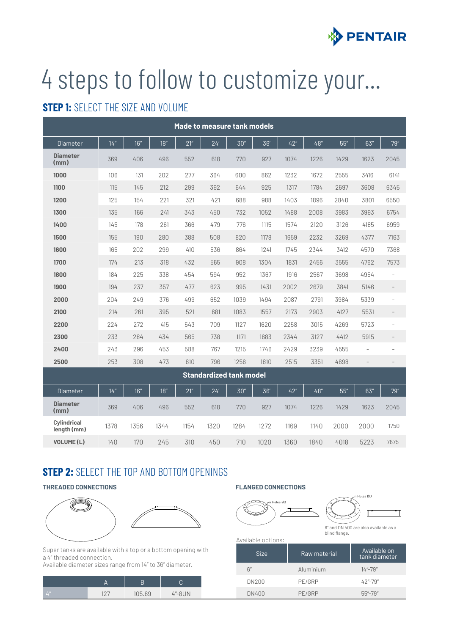

# 4 steps to follow to customize your...

# **STEP 1: SELECT THE SIZE AND VOLUME**

| Made to measure tank models |                                |      |      |      |      |      |      |      |      |      |                          |                          |
|-----------------------------|--------------------------------|------|------|------|------|------|------|------|------|------|--------------------------|--------------------------|
| <b>Diameter</b>             | 14''                           | 16'' | 18'' | 21'' | 24'  | 30'' | 36'  | 42'' | 48'' | 55'' | 63''                     | 79"                      |
| <b>Diameter</b><br>(mm)     | 369                            | 406  | 496  | 552  | 618  | 770  | 927  | 1074 | 1226 | 1429 | 1623                     | 2045                     |
| 1000                        | 106                            | 131  | 202  | 277  | 364  | 600  | 862  | 1232 | 1672 | 2555 | 3416                     | 6141                     |
| 1100                        | 115                            | 145  | 212  | 299  | 392  | 644  | 925  | 1317 | 1784 | 2697 | 3608                     | 6345                     |
| 1200                        | 125                            | 154  | 221  | 321  | 421  | 688  | 988  | 1403 | 1896 | 2840 | 3801                     | 6550                     |
| 1300                        | 135                            | 166  | 241  | 343  | 450  | 732  | 1052 | 1488 | 2008 | 3983 | 3993                     | 6754                     |
| 1400                        | 145                            | 178  | 261  | 366  | 479  | 776  | 1115 | 1574 | 2120 | 3126 | 4185                     | 6959                     |
| 1500                        | 155                            | 190  | 280  | 388  | 508  | 820  | 1178 | 1659 | 2232 | 3269 | 4377                     | 7163                     |
| 1600                        | 165                            | 202  | 299  | 410  | 536  | 864  | 1241 | 1745 | 2344 | 3412 | 4570                     | 7368                     |
| 1700                        | 174                            | 213  | 318  | 432  | 565  | 908  | 1304 | 1831 | 2456 | 3555 | 4762                     | 7573                     |
| 1800                        | 184                            | 225  | 338  | 454  | 594  | 952  | 1367 | 1916 | 2567 | 3698 | 4954                     | $\bar{ }$                |
| 1900                        | 194                            | 237  | 357  | 477  | 623  | 995  | 1431 | 2002 | 2679 | 3841 | 5146                     | $\qquad \qquad -$        |
| 2000                        | 204                            | 249  | 376  | 499  | 652  | 1039 | 1494 | 2087 | 2791 | 3984 | 5339                     |                          |
| 2100                        | 214                            | 261  | 395  | 521  | 681  | 1083 | 1557 | 2173 | 2903 | 4127 | 5531                     | $\overline{\phantom{a}}$ |
| 2200                        | 224                            | 272  | 415  | 543  | 709  | 1127 | 1620 | 2258 | 3015 | 4269 | 5723                     | $\overline{a}$           |
| 2300                        | 233                            | 284  | 434  | 565  | 738  | 1171 | 1683 | 2344 | 3127 | 4412 | 5915                     |                          |
| 2400                        | 243                            | 296  | 453  | 588  | 767  | 1215 | 1746 | 2429 | 3239 | 4555 | $\overline{\phantom{a}}$ | ÷                        |
| 2500                        | 253                            | 308  | 473  | 610  | 796  | 1256 | 1810 | 2515 | 3351 | 4698 | $\overline{\phantom{a}}$ | $\overline{\phantom{0}}$ |
|                             | <b>Standardized tank model</b> |      |      |      |      |      |      |      |      |      |                          |                          |
| <b>Diameter</b>             | 14''                           | 16'' | 18'' | 21'' | 24'  | 30'' | 36   | 42"  | 48"  | 55"  | 63"                      | 79"                      |
| <b>Diameter</b><br>(mm)     | 369                            | 406  | 496  | 552  | 618  | 770  | 927  | 1074 | 1226 | 1429 | 1623                     | 2045                     |
| Cylindrical<br>length (mm)  | 1378                           | 1356 | 1344 | 1154 | 1320 | 1284 | 1272 | 1169 | 1140 | 2000 | 2000                     | 1750                     |
| <b>VOLUME(L)</b>            | 140                            | 170  | 245  | 310  | 450  | 710  | 1020 | 1360 | 1840 | 4018 | 5223                     | 7675                     |

# **STEP 2: SELECT THE TOP AND BOTTOM OPENINGS**

## **THREADED CONNECTIONS FLANGED CONNECTIONS**



Super tanks are available with a top or a bottom opening with a 4'' threaded connection.

Available diameter sizes range from 14" to 36" diameter.

| $/4$ "/ | 1 ຕ" | 105.69 | $4^{\prime\prime}$ -8UN |
|---------|------|--------|-------------------------|



Available options:

| <b>Size</b>  | Raw material | Available on<br>tank diameter             |
|--------------|--------------|-------------------------------------------|
| 6''          | Aluminium    | $14 - 79$                                 |
| <b>DN200</b> | PE/GRP       | $42^{\prime\prime}$ -79 $^{\prime\prime}$ |
| <b>DN400</b> | PE/GRP       | $55 - 79$                                 |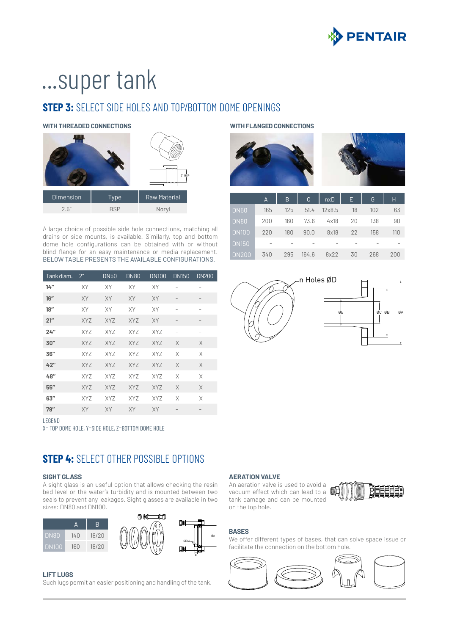

# ...super tank

# **STEP 3:** SFLECT SIDE HOLES AND TOP/BOTTOM DOME OPENINGS

**WITH THREADED CONNECTIONS WITH FLANGED CONNECTIONS**



A large choice of possible side hole connections, matching all drains or side mounts, is available. Similarly, top and bottom dome hole configurations can be obtained with or without blind flange for an easy maintenance or media replacement. BELOW TABLE PRESENTS THE AVAILABLE CONFIGURATIONS.

| Tank diam. | $2^{\prime\prime}$ | <b>DN50</b> | <b>DN80</b> | <b>DN100</b> | <b>DN150</b>             | <b>DN200</b>             |
|------------|--------------------|-------------|-------------|--------------|--------------------------|--------------------------|
| 14''       | XY                 | XY          | XY          | XY           | -                        | $\overline{\phantom{0}}$ |
| 16''       | XY                 | XY          | XY          | <b>XY</b>    |                          |                          |
| 18"        | XY                 | XY          | XY          | XY           |                          | $\overline{\phantom{0}}$ |
| 21''       | <b>XYZ</b>         | <b>XYZ</b>  | <b>XYZ</b>  | XY           | $\qquad \qquad -$        | $\qquad \qquad -$        |
| 24''       | <b>XYZ</b>         | <b>XYZ</b>  | <b>XYZ</b>  | <b>XYZ</b>   | $\overline{\phantom{0}}$ | $\overline{\phantom{0}}$ |
| 30"        | <b>XYZ</b>         | <b>XYZ</b>  | <b>XYZ</b>  | <b>XYZ</b>   | X                        | X                        |
| 36''       | <b>XYZ</b>         | <b>XYZ</b>  | <b>XYZ</b>  | <b>XYZ</b>   | X                        | X                        |
| 42"        | <b>XYZ</b>         | <b>XYZ</b>  | <b>XYZ</b>  | <b>XYZ</b>   | X                        | X                        |
| 48"        | <b>XYZ</b>         | <b>XYZ</b>  | <b>XYZ</b>  | <b>XYZ</b>   | X                        | X                        |
| 55''       | <b>XYZ</b>         | <b>XYZ</b>  | <b>XYZ</b>  | <b>XYZ</b>   | X                        | X                        |
| 63''       | <b>XYZ</b>         | <b>XYZ</b>  | <b>XYZ</b>  | <b>XYZ</b>   | X                        | X                        |
| 79''       | XY                 | XY          | <b>XY</b>   | <b>XY</b>    | $\qquad \qquad -$        | $\qquad \qquad -$        |
| LEGEND     |                    |             |             |              |                          |                          |

X= TOP DOME HOLE, Y=SIDE HOLE, Z=BOTTOM DOME HOLE

# **STEP 4:** SELECT OTHER POSSIBLE OPTIONS

### **SIGHT GLASS**

A sight glass is an useful option that allows checking the resin bed level or the water's turbidity and is mounted between two seals to prevent any leakages. Sight glasses are available in two sizes: DN80 and DN100.



### **LIFT LUGS**

Such lugs permit an easier positioning and handling of the tank.





|              | A   | B   | C     | nxD           | E  | G   | Н   |
|--------------|-----|-----|-------|---------------|----|-----|-----|
| <b>DN50</b>  | 165 | 125 | 51.4  | $12\times8.5$ | 18 | 102 | 63  |
| <b>DN80</b>  | 200 | 160 | 73.6  | 4x18          | 20 | 138 | 90  |
| <b>DN100</b> | 220 | 180 | 90.0  | 8x18          | 22 | 158 | 110 |
| <b>DN150</b> |     |     |       |               |    |     |     |
| <b>DN200</b> | 340 | 295 | 164.6 | 8x22          | 30 | 268 | 200 |





### **AERATION VALVE**

An aeration valve is used to avoid a vacuum effect which can lead to a  $\mathbb{I}$ tank damage and can be mounted on the top hole.



## **BASES**

We offer different types of bases, that can solve space issue or facilitate the connection on the bottom hole.

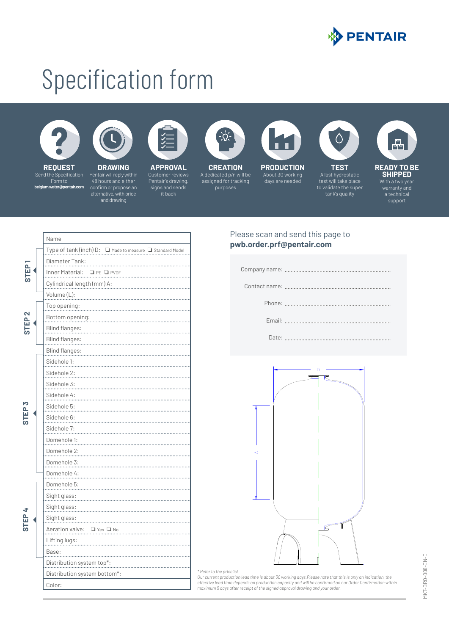

# Specification form





**REQUEST** Send the Specification **belgium.water@pentair.com**

**DRAWING** Pentair will reply within 48 hours and either confirm or propose an



**APPROVAL** Customer reviews Pentair's drawing,



**CREATION**  A dedicated p/n will be assigned for tracking purposes

**PRODUCTION**

About 30 working days are needed



**TEST** A last hydrostatic test will take place to validate the super tank's quality

 $\bigwedge$ 



support

|                   | Name                                                      |
|-------------------|-----------------------------------------------------------|
|                   | Type of tank (inch) D: ■ Made to measure ■ Standard Model |
| 3TEP              | Diameter Tank:                                            |
|                   | Inner Material: Q PE Q PVDF                               |
|                   | Cylindrical length (mm) A:                                |
|                   | Volume (L):                                               |
|                   | Top opening:                                              |
| STEP <sub>2</sub> | Bottom opening:                                           |
|                   | Blind flanges:                                            |
|                   | <b>Blind flanges:</b>                                     |
|                   | Blind flanges:                                            |
|                   | Sidehole 1:                                               |
|                   | Sidehole 2:                                               |
|                   | Sidehole 3:                                               |
|                   | Sidehole 4:                                               |
|                   | Sidehole 5:                                               |
|                   | Sidehole 6:                                               |
|                   | Sidehole 7:                                               |
|                   | Domehole 1:                                               |
|                   | Domehole 2:                                               |
|                   | Domehole 3:                                               |
|                   | Domehole 4:                                               |
|                   | Domehole 5:                                               |
|                   | Sight glass:                                              |
|                   | Sight glass:                                              |
|                   | Sight glass:                                              |
|                   | Aeration valve: Q Yes Q No                                |
|                   | Lifting lugs:                                             |
|                   | Base:                                                     |
|                   | Distribution system top*:                                 |
|                   | Distribution system bottom*:                              |
|                   | Color:                                                    |

## Please scan and send this page to **pwb.order.prf@pentair.com**

|  | Company name: |  |
|--|---------------|--|
|  |               |  |

Contact name:

Phone:

Date:



### *\* Refer to the pricelist*

*Our current production lead time is about 30 working days.Please note that this is only an indication, the*  effective lead time depends on production capacity and will be confirmed on our Order Confirmation within<br>maximum 5 days after receipt of the signed approval drawing and your order.